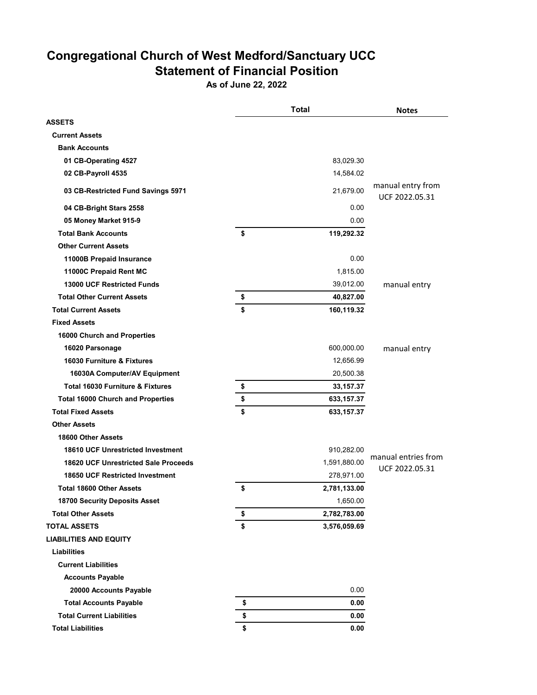## **Congregational Church of West Medford/Sanctuary UCC Statement of Financial Position**

**As of June 22, 2022**

|                                             | <b>Total</b>       | <b>Notes</b>                        |
|---------------------------------------------|--------------------|-------------------------------------|
| ASSETS                                      |                    |                                     |
| <b>Current Assets</b>                       |                    |                                     |
| <b>Bank Accounts</b>                        |                    |                                     |
| 01 CB-Operating 4527                        | 83,029.30          |                                     |
| 02 CB-Payroll 4535                          | 14,584.02          |                                     |
| 03 CB-Restricted Fund Savings 5971          | 21,679.00          | manual entry from<br>UCF 2022.05.31 |
| 04 CB-Bright Stars 2558                     | 0.00               |                                     |
| 05 Money Market 915-9                       | 0.00               |                                     |
| <b>Total Bank Accounts</b>                  | \$<br>119,292.32   |                                     |
| <b>Other Current Assets</b>                 |                    |                                     |
| 11000B Prepaid Insurance                    | 0.00               |                                     |
| 11000C Prepaid Rent MC                      | 1,815.00           |                                     |
| <b>13000 UCF Restricted Funds</b>           | 39,012.00          | manual entry                        |
| <b>Total Other Current Assets</b>           | \$<br>40,827.00    |                                     |
| <b>Total Current Assets</b>                 | \$<br>160,119.32   |                                     |
| <b>Fixed Assets</b>                         |                    |                                     |
| 16000 Church and Properties                 |                    |                                     |
| 16020 Parsonage                             | 600,000.00         | manual entry                        |
| 16030 Furniture & Fixtures                  | 12,656.99          |                                     |
| 16030A Computer/AV Equipment                | 20,500.38          |                                     |
| <b>Total 16030 Furniture &amp; Fixtures</b> | \$<br>33, 157.37   |                                     |
| <b>Total 16000 Church and Properties</b>    | \$<br>633, 157.37  |                                     |
| <b>Total Fixed Assets</b>                   | \$<br>633, 157.37  |                                     |
| <b>Other Assets</b>                         |                    |                                     |
| 18600 Other Assets                          |                    |                                     |
| 18610 UCF Unrestricted Investment           | 910,282.00         |                                     |
| 18620 UCF Unrestricted Sale Proceeds        | 1,591,880.00       | manual entries from                 |
| <b>18650 UCF Restricted Investment</b>      | 278,971.00         | UCF 2022.05.31                      |
| <b>Total 18600 Other Assets</b>             | \$<br>2,781,133.00 |                                     |
| <b>18700 Security Deposits Asset</b>        | 1,650.00           |                                     |
| <b>Total Other Assets</b>                   | \$<br>2,782,783.00 |                                     |
| TOTAL ASSETS                                | \$<br>3,576,059.69 |                                     |
| <b>LIABILITIES AND EQUITY</b>               |                    |                                     |
| <b>Liabilities</b>                          |                    |                                     |
| <b>Current Liabilities</b>                  |                    |                                     |
| <b>Accounts Payable</b>                     |                    |                                     |
| 20000 Accounts Payable                      | 0.00               |                                     |
| <b>Total Accounts Payable</b>               | \$<br>0.00         |                                     |
| <b>Total Current Liabilities</b>            | \$<br>0.00         |                                     |
| <b>Total Liabilities</b>                    | \$<br>0.00         |                                     |